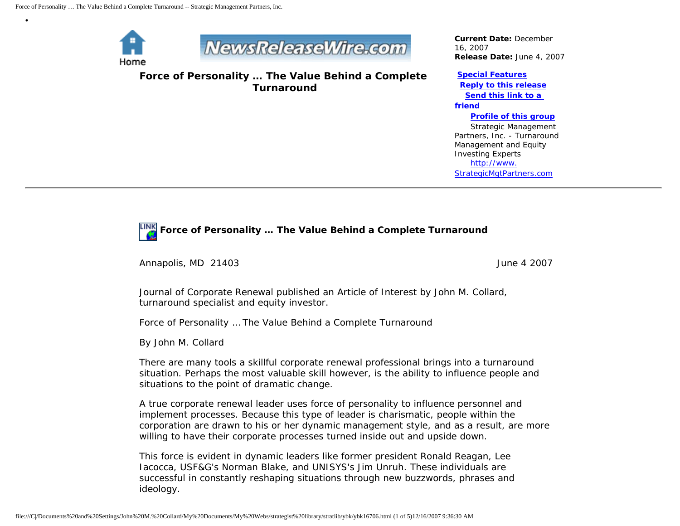

•



**Force of Personality … The Value Behind a Complete Turnaround**

*Current Date:* December 16, 2007 *Release Date:* June 4, 2007

## **[Special Features](javascript:openlittleme()**

 **[Reply to this release](file:///C|/Documents%20and%20Settings/John%20M.%20Collard/My%20Documents/My%20Webs/strategist%20library/stratlib/ybk/default.cfm?Action=ReplyRelease&Id=16706) [Send this link to a](file:///C|/Documents%20and%20Settings/John%20M.%20Collard/My%20Documents/My%20Webs/strategist%20library/stratlib/ybk/default.cfm?Action=SendLink&SendId=16706)  [friend](file:///C|/Documents%20and%20Settings/John%20M.%20Collard/My%20Documents/My%20Webs/strategist%20library/stratlib/ybk/default.cfm?Action=SendLink&SendId=16706) [Profile of this group](file:///C|/Documents%20and%20Settings/John%20M.%20Collard/My%20Documents/My%20Webs/strategist%20library/stratlib/ybk/default.cfm?Action=Profile&ProfileId=623)** Strategic Management Partners, Inc. - Turnaround Management and Equity Investing Experts [http://www.](http://www.strategicmgtpartners.com/)

[StrategicMgtPartners.com](http://www.strategicmgtpartners.com/)



Annapolis, MD 21403 June 4 2007

Journal of Corporate Renewal published an Article of Interest by John M. Collard, turnaround specialist and equity investor.

Force of Personality … The Value Behind a Complete Turnaround

By John M. Collard

There are many tools a skillful corporate renewal professional brings into a turnaround situation. Perhaps the most valuable skill however, is the ability to influence people and situations to the point of dramatic change.

A true corporate renewal leader uses force of personality to influence personnel and implement processes. Because this type of leader is charismatic, people within the corporation are drawn to his or her dynamic management style, and as a result, are more willing to have their corporate processes turned inside out and upside down.

This force is evident in dynamic leaders like former president Ronald Reagan, Lee Iacocca, USF&G's Norman Blake, and UNISYS's Jim Unruh. These individuals are successful in constantly reshaping situations through new buzzwords, phrases and ideology.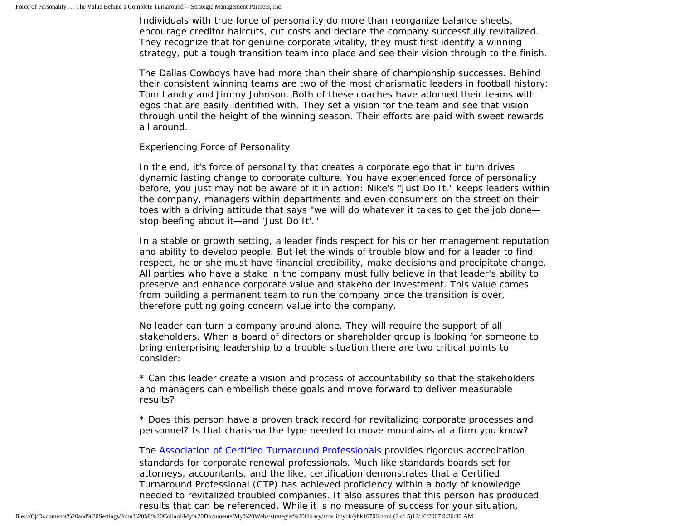Individuals with true force of personality do more than reorganize balance sheets, encourage creditor haircuts, cut costs and declare the company successfully revitalized. They recognize that for genuine corporate vitality, they must first identify a winning strategy, put a tough transition team into place and see their vision through to the finish.

The Dallas Cowboys have had more than their share of championship successes. Behind their consistent winning teams are two of the most charismatic leaders in football history: Tom Landry and Jimmy Johnson. Both of these coaches have adorned their teams with egos that are easily identified with. They set a vision for the team and see that vision through until the height of the winning season. Their efforts are paid with sweet rewards all around.

Experiencing Force of Personality

In the end, it's force of personality that creates a corporate ego that in turn drives dynamic lasting change to corporate culture. You have experienced force of personality before, you just may not be aware of it in action: Nike's "Just Do It," keeps leaders within the company, managers within departments and even consumers on the street on their toes with a driving attitude that says "we will do whatever it takes to get the job done stop beefing about it—and 'Just Do It'."

In a stable or growth setting, a leader finds respect for his or her management reputation and ability to develop people. But let the winds of trouble blow and for a leader to find respect, he or she must have financial credibility, make decisions and precipitate change. All parties who have a stake in the company must fully believe in that leader's ability to preserve and enhance corporate value and stakeholder investment. This value comes from building a permanent team to run the company once the transition is over, therefore putting going concern value into the company.

No leader can turn a company around alone. They will require the support of all stakeholders. When a board of directors or shareholder group is looking for someone to bring enterprising leadership to a trouble situation there are two critical points to consider:

\* Can this leader create a vision and process of accountability so that the stakeholders and managers can embellish these goals and move forward to deliver measurable results?

\* Does this person have a proven track record for revitalizing corporate processes and personnel? Is that charisma the type needed to move mountains at a firm you know?

The [Association of Certified Turnaround Professionals](http://www.actp.org/) provides rigorous accreditation standards for corporate renewal professionals. Much like standards boards set for attorneys, accountants, and the like, certification demonstrates that a Certified Turnaround Professional (CTP) has achieved proficiency within a body of knowledge needed to revitalized troubled companies. It also assures that this person has produced results that can be referenced. While it is no measure of success for your situation,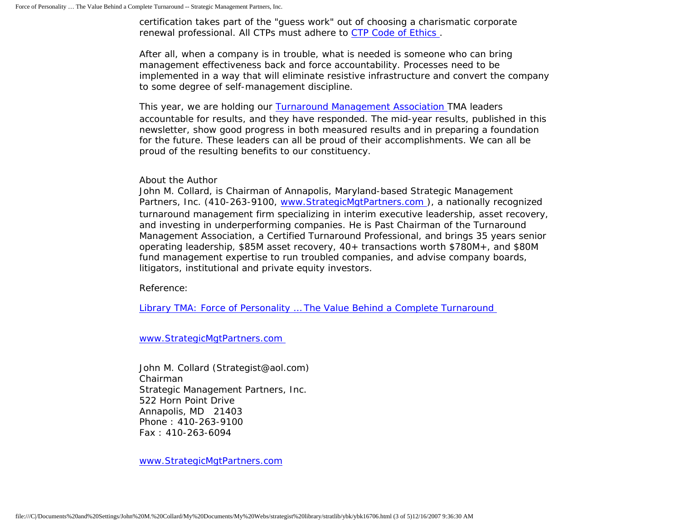certification takes part of the "guess work" out of choosing a charismatic corporate renewal professional. All CTPs must adhere to [CTP Code of Ethics](http://www.actp.org/about/ethics.asp) .

After all, when a company is in trouble, what is needed is someone who can bring management effectiveness back and force accountability. Processes need to be implemented in a way that will eliminate resistive infrastructure and convert the company to some degree of self-management discipline.

This year, we are holding our **Turnaround Management Association** TMA leaders accountable for results, and they have responded. The mid-year results, published in this newsletter, show good progress in both measured results and in preparing a foundation for the future. These leaders can all be proud of their accomplishments. We can all be proud of the resulting benefits to our constituency.

About the Author

John M. Collard, is Chairman of Annapolis, Maryland-based Strategic Management Partners, Inc. (410-263-9100, [www.StrategicMgtPartners.com](http://www.strategicmgtpartners.com/) ), a nationally recognized turnaround management firm specializing in interim executive leadership, asset recovery, and investing in underperforming companies. He is Past Chairman of the Turnaround Management Association, a Certified Turnaround Professional, and brings 35 years senior operating leadership, \$85M asset recovery, 40+ transactions worth \$780M+, and \$80M fund management expertise to run troubled companies, and advise company boards, litigators, institutional and private equity investors.

Reference:

[Library TMA: Force of Personality … The Value Behind a Complete Turnaround](http://www.turnaround.org/news/letter.asp?objectID=2060)

[www.StrategicMgtPartners.com](http://www.strategicmgtpartners.com/)

John M. Collard (Strategist@aol.com) Chairman Strategic Management Partners, Inc. 522 Horn Point Drive Annapolis, MD 21403 Phone : 410-263-9100 Fax : 410-263-6094

[www.StrategicMgtPartners.com](http://www.strategicmgtpartners.com/)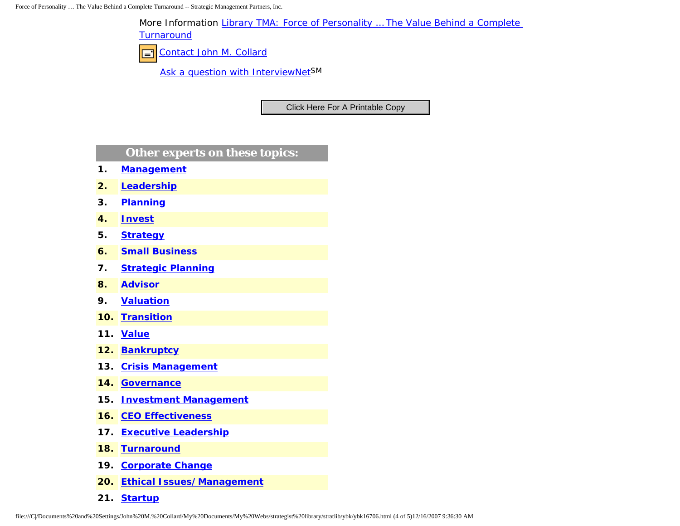Force of Personality … The Value Behind a Complete Turnaround -- Strategic Management Partners, Inc.

More Information [Library TMA: Force of Personality … The Value Behind a Complete](http://www.turnaround.org/news/letter.asp?objectID=2060) 

**[Turnaround](http://www.turnaround.org/news/letter.asp?objectID=2060)** 

[Contact John M. Collard](http://www.expertclick.com/expertClick/contact/default.cfm?Action=ContactExpert&GroupID=1016)  $\Box$ 

[Ask a question with InterviewNetS](http://www.expertclick.com/expertClick/contact/default.cfm?GroupID=1016)M

## **Other experts on these topics:**

- **1. [Management](http://www.expertclick.com/search/default.cfm?SearchCriteria=Management)**
- **2. [Leadership](http://www.expertclick.com/search/default.cfm?SearchCriteria=Leadership)**
- **3. [Planning](http://www.expertclick.com/search/default.cfm?SearchCriteria=Planning)**
- **4. [Invest](http://www.expertclick.com/search/default.cfm?SearchCriteria=Invest)**
- **5. [Strategy](http://www.expertclick.com/search/default.cfm?SearchCriteria=Strategy)**
- **6. [Small Business](http://www.expertclick.com/search/default.cfm?SearchCriteria=Small Business)**
- **7. [Strategic Planning](http://www.expertclick.com/search/default.cfm?SearchCriteria=Strategic Planning)**
- **8. [Advisor](http://www.expertclick.com/search/default.cfm?SearchCriteria=Advisor)**
- **9. [Valuation](http://www.expertclick.com/search/default.cfm?SearchCriteria=Valuation)**
- **10. [Transition](http://www.expertclick.com/search/default.cfm?SearchCriteria=Transition)**
- **11. [Value](http://www.expertclick.com/search/default.cfm?SearchCriteria=Value)**
- **12. [Bankruptcy](http://www.expertclick.com/search/default.cfm?SearchCriteria=Bankruptcy)**
- **13. [Crisis Management](http://www.expertclick.com/search/default.cfm?SearchCriteria=Crisis Management)**
- **14. [Governance](http://www.expertclick.com/search/default.cfm?SearchCriteria=Governance)**
- **15. [Investment Management](http://www.expertclick.com/search/default.cfm?SearchCriteria=Investment Management)**
- **16. [CEO Effectiveness](http://www.expertclick.com/search/default.cfm?SearchCriteria=CEO Effectiveness)**
- **17. [Executive Leadership](http://www.expertclick.com/search/default.cfm?SearchCriteria=Executive Leadership)**
- **18. [Turnaround](http://www.expertclick.com/search/default.cfm?SearchCriteria=Turnaround)**
- **19. [Corporate Change](http://www.expertclick.com/search/default.cfm?SearchCriteria=Corporate Change)**
- **20. [Ethical Issues/Management](http://www.expertclick.com/search/default.cfm?SearchCriteria=Ethical Issues/Management)**
- **21. [Startup](http://www.expertclick.com/search/default.cfm?SearchCriteria=Startup)**